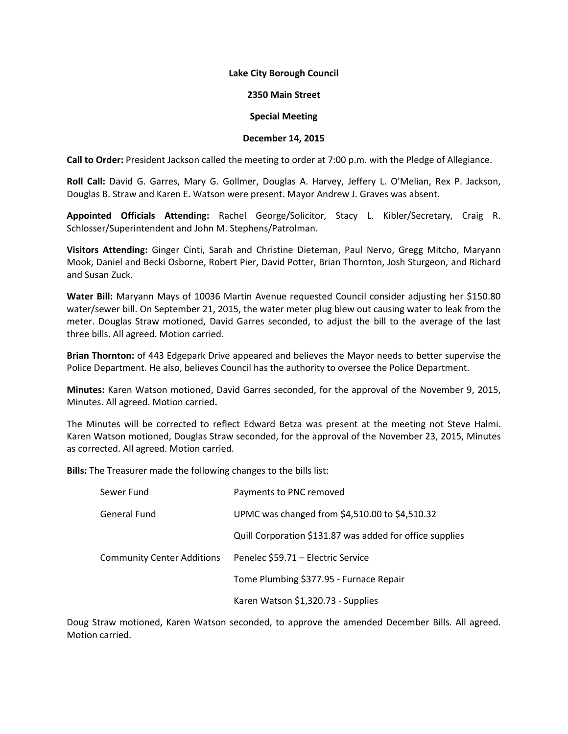## **Lake City Borough Council**

## **2350 Main Street**

## **Special Meeting**

## **December 14, 2015**

**Call to Order:** President Jackson called the meeting to order at 7:00 p.m. with the Pledge of Allegiance.

**Roll Call:** David G. Garres, Mary G. Gollmer, Douglas A. Harvey, Jeffery L. O'Melian, Rex P. Jackson, Douglas B. Straw and Karen E. Watson were present. Mayor Andrew J. Graves was absent.

**Appointed Officials Attending:** Rachel George/Solicitor, Stacy L. Kibler/Secretary, Craig R. Schlosser/Superintendent and John M. Stephens/Patrolman.

**Visitors Attending:** Ginger Cinti, Sarah and Christine Dieteman, Paul Nervo, Gregg Mitcho, Maryann Mook, Daniel and Becki Osborne, Robert Pier, David Potter, Brian Thornton, Josh Sturgeon, and Richard and Susan Zuck.

**Water Bill:** Maryann Mays of 10036 Martin Avenue requested Council consider adjusting her \$150.80 water/sewer bill. On September 21, 2015, the water meter plug blew out causing water to leak from the meter. Douglas Straw motioned, David Garres seconded, to adjust the bill to the average of the last three bills. All agreed. Motion carried.

**Brian Thornton:** of 443 Edgepark Drive appeared and believes the Mayor needs to better supervise the Police Department. He also, believes Council has the authority to oversee the Police Department.

**Minutes:** Karen Watson motioned, David Garres seconded, for the approval of the November 9, 2015, Minutes. All agreed. Motion carried**.**

The Minutes will be corrected to reflect Edward Betza was present at the meeting not Steve Halmi. Karen Watson motioned, Douglas Straw seconded, for the approval of the November 23, 2015, Minutes as corrected. All agreed. Motion carried.

**Bills:** The Treasurer made the following changes to the bills list:

| Sewer Fund                        | Payments to PNC removed                                  |
|-----------------------------------|----------------------------------------------------------|
| General Fund                      | UPMC was changed from \$4,510.00 to \$4,510.32           |
|                                   | Quill Corporation \$131.87 was added for office supplies |
| <b>Community Center Additions</b> | Penelec \$59.71 - Electric Service                       |
|                                   | Tome Plumbing \$377.95 - Furnace Repair                  |
|                                   | Karen Watson \$1,320.73 - Supplies                       |

Doug Straw motioned, Karen Watson seconded, to approve the amended December Bills. All agreed. Motion carried.